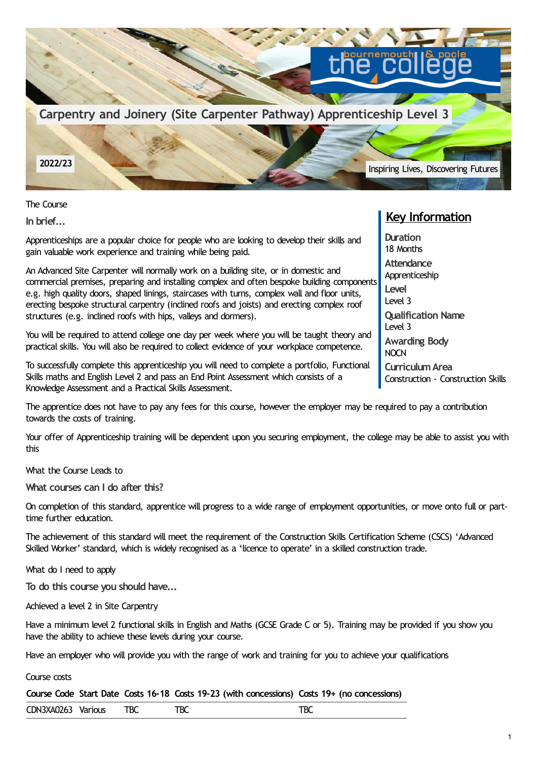

The Course

**In brief...**

Apprenticeships are a popular choice for people who are looking to develop their skills and gain valuable work experience and training while being paid.

An Advanced Site Carpenter will normally work on a building site, or in domestic and commercial premises, preparing and installing complex and often bespoke building components e.g. high quality doors, shaped linings, staircases with turns, complex wall and floor units, erecting bespoke structural carpentry (inclined roofs and joists) and erecting complex roof structures (e.g. inclined roofs with hips, valleys and dormers).

You will be required to attend college one day per week where you will be taught theory and practical skills. You will also be required to collect evidence of your workplace competence.

To successfully complete this apprenticeship you will need to complete a portfolio, Functional Skills maths and English Level 2 and pass an End Point Assessment which consists of a Knowledge Assessment and a Practical Skills Assessment.

The apprentice does not have to pay any fees for this course, however the employer may be required to pay a contribution towards the costs of training.

Your offer of Apprenticeship training will be dependent upon you securing employment, the college may be able to assist you with this

What the Course Leads to

**What courses can I do after this?**

On completion of this standard, apprentice will progress to a wide range of employment opportunities, or move onto full or parttime further education.

The achievement of this standard will meet the requirement of the Construction Skills Certification Scheme (CSCS) 'Advanced Skilled Worker' standard, which is widely recognised as a 'licence to operate' in a skilled construction trade.

What do I need to apply

**To do this course you should have...**

Achieved a level 2 in Site Carpentry

Have a minimum level 2 functional skills in English and Maths (GCSE Grade C or 5). Training may be provided if you show you have the ability to achieve these levels during your course.

Have an employer who will provide you with the range of work and training for you to achieve your qualifications

Course costs

**Course Code Start Date Costs 16-18 Costs 19-23 (with concessions) Costs 19+ (no concessions)**

CDN3XA0263 Various TBC TBC TBC

## **Key Information**

**Duration** 18 Months **Attendance** Apprenticeship **Level** Level 3 **Qualification Name** Level 3 **Awarding Body NOCN CurriculumArea** Construction - Construction Skills